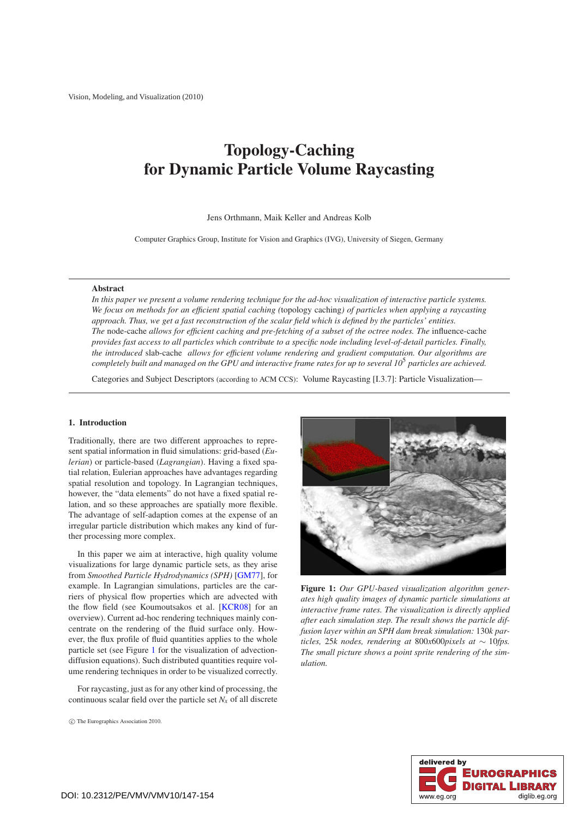# <span id="page-0-1"></span>**Topology-Caching for Dynamic Particle Volume Raycasting**

## Jens Orthmann, Maik Keller and Andreas Kolb

Computer Graphics Group, Institute for Vision and Graphics (IVG), University of Siegen, Germany

#### **Abstract**

*In this paper we present a volume rendering technique for the ad-hoc visualization of interactive particle systems. We focus on methods for an efficient spatial caching (*topology caching*) of particles when applying a raycasting approach. Thus, we get a fast reconstruction of the scalar field which is defined by the particles' entities. The* node-cache *allows for efficient caching and pre-fetching of a subset of the octree nodes. The* influence-cache *provides fast access to all particles which contribute to a specific node including level-of-detail particles. Finally, the introduced* slab-cache *allows for efficient volume rendering and gradient computation. Our algorithms are completely built and managed on the GPU and interactive frame rates for up to several 10*<sup>5</sup> *particles are achieved.*

Categories and Subject Descriptors (according to ACM CCS): Volume Raycasting [I.3.7]: Particle Visualization—

## **1. Introduction**

Traditionally, there are two different approaches to represent spatial information in fluid simulations: grid-based (*Eulerian*) or particle-based (*Lagrangian*). Having a fixed spatial relation, Eulerian approaches have advantages regarding spatial resolution and topology. In Lagrangian techniques, however, the "data elements" do not have a fixed spatial relation, and so these approaches are spatially more flexible. The advantage of self-adaption comes at the expense of an irregular particle distribution which makes any kind of further processing more complex.

In this paper we aim at interactive, high quality volume visualizations for large dynamic particle sets, as they arise from *Smoothed Particle Hydrodynamics (SPH)* [\[GM77\]](#page-6-0), for example. In Lagrangian simulations, particles are the carriers of physical flow properties which are advected with the flow field (see Koumoutsakos et al. [\[KCR08\]](#page-6-1) for an overview). Current ad-hoc rendering techniques mainly concentrate on the rendering of the fluid surface only. However, the flux profile of fluid quantities applies to the whole particle set (see Figure [1](#page-0-0) for the visualization of advectiondiffusion equations). Such distributed quantities require volume rendering techniques in order to be visualized correctly.

For raycasting, just as for any other kind of processing, the continuous scalar field over the particle set  $N_x$  of all discrete

<span id="page-0-0"></span>

**Figure 1:** *Our GPU-based visualization algorithm generates high quality images of dynamic particle simulations at interactive frame rates. The visualization is directly applied after each simulation step. The result shows the particle diffusion layer within an SPH dam break simulation:* 130*k particles,* 25*k nodes, rendering at* 800*x*600*pixels at* ∼ 10*fps. The small picture shows a point sprite rendering of the simulation.*



c The Eurographics Association 2010.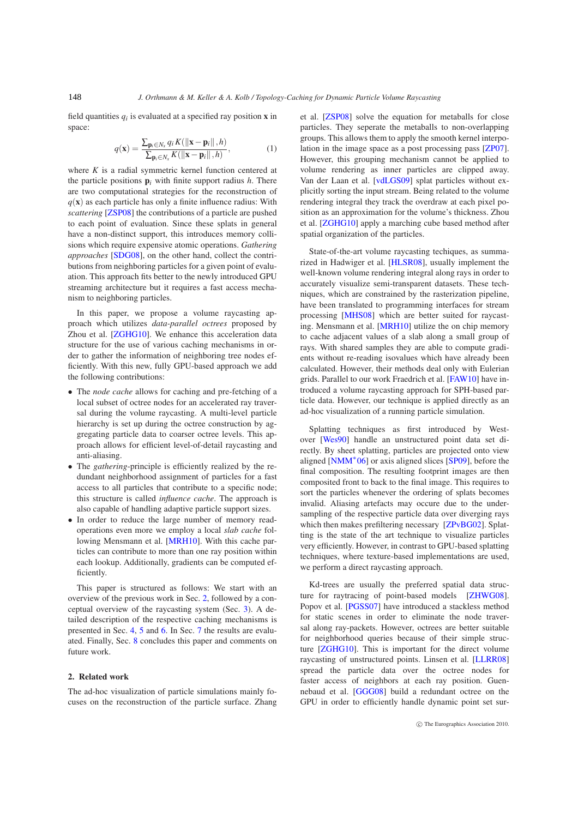<span id="page-1-2"></span><span id="page-1-1"></span>field quantities  $q_i$  is evaluated at a specified ray position **x** in space:

$$
q(\mathbf{x}) = \frac{\sum_{\mathbf{p}_i \in N_x} q_i K(||\mathbf{x} - \mathbf{p}_i||, h)}{\sum_{\mathbf{p}_i \in N_x} K(||\mathbf{x} - \mathbf{p}_i||, h)},
$$
(1)

where *K* is a radial symmetric kernel function centered at the particle positions  $\mathbf{p}_i$  with finite support radius *h*. There are two computational strategies for the reconstruction of  $q(\mathbf{x})$  as each particle has only a finite influence radius: With *scattering* [\[ZSP08\]](#page-7-0) the contributions of a particle are pushed to each point of evaluation. Since these splats in general have a non-distinct support, this introduces memory collisions which require expensive atomic operations. *Gathering approaches* [\[SDG08\]](#page-7-1), on the other hand, collect the contributions from neighboring particles for a given point of evaluation. This approach fits better to the newly introduced GPU streaming architecture but it requires a fast access mechanism to neighboring particles.

In this paper, we propose a volume raycasting approach which utilizes *data-parallel octrees* proposed by Zhou et al. [\[ZGHG10\]](#page-7-2). We enhance this acceleration data structure for the use of various caching mechanisms in order to gather the information of neighboring tree nodes efficiently. With this new, fully GPU-based approach we add the following contributions:

- The *node cache* allows for caching and pre-fetching of a local subset of octree nodes for an accelerated ray traversal during the volume raycasting. A multi-level particle hierarchy is set up during the octree construction by aggregating particle data to coarser octree levels. This approach allows for efficient level-of-detail raycasting and anti-aliasing.
- The *gathering*-principle is efficiently realized by the redundant neighborhood assignment of particles for a fast access to all particles that contribute to a specific node; this structure is called *influence cache*. The approach is also capable of handling adaptive particle support sizes.
- In order to reduce the large number of memory readoperations even more we employ a local *slab cache* fol-lowing Mensmann et al. [\[MRH10\]](#page-6-2). With this cache particles can contribute to more than one ray position within each lookup. Additionally, gradients can be computed efficiently.

<span id="page-1-0"></span>This paper is structured as follows: We start with an overview of the previous work in Sec. [2,](#page-1-0) followed by a conceptual overview of the raycasting system (Sec. [3\)](#page-2-0). A detailed description of the respective caching mechanisms is presented in Sec. [4,](#page-3-0) [5](#page-4-0) and [6.](#page-4-1) In Sec. [7](#page-4-2) the results are evaluated. Finally, Sec. [8](#page-6-3) concludes this paper and comments on future work.

## **2. Related work**

The ad-hoc visualization of particle simulations mainly focuses on the reconstruction of the particle surface. Zhang et al. [\[ZSP08\]](#page-7-0) solve the equation for metaballs for close particles. They seperate the metaballs to non-overlapping groups. This allows them to apply the smooth kernel interpolation in the image space as a post processing pass [\[ZP07\]](#page-7-3). However, this grouping mechanism cannot be applied to volume rendering as inner particles are clipped away. Van der Laan et al. [\[vdLGS09\]](#page-7-4) splat particles without explicitly sorting the input stream. Being related to the volume rendering integral they track the overdraw at each pixel position as an approximation for the volume's thickness. Zhou et al. [\[ZGHG10\]](#page-7-2) apply a marching cube based method after spatial organization of the particles.

State-of-the-art volume raycasting techiques, as summarized in Hadwiger et al. [\[HLSR08\]](#page-6-4), usually implement the well-known volume rendering integral along rays in order to accurately visualize semi-transparent datasets. These techniques, which are constrained by the rasterization pipeline, have been translated to programming interfaces for stream processing [\[MHS08\]](#page-6-5) which are better suited for raycasting. Mensmann et al. [\[MRH10\]](#page-6-2) utilize the on chip memory to cache adjacent values of a slab along a small group of rays. With shared samples they are able to compute gradients without re-reading isovalues which have already been calculated. However, their methods deal only with Eulerian grids. Parallel to our work Fraedrich et al. [\[FAW10\]](#page-6-6) have introduced a volume raycasting approach for SPH-based particle data. However, our technique is applied directly as an ad-hoc visualization of a running particle simulation.

Splatting techniques as first introduced by Westover [\[Wes90\]](#page-7-5) handle an unstructured point data set directly. By sheet splatting, particles are projected onto view aligned  $[NMM^*06]$  $[NMM^*06]$  or axis aligned slices  $[SPO9]$ , before the final composition. The resulting footprint images are then composited front to back to the final image. This requires to sort the particles whenever the ordering of splats becomes invalid. Aliasing artefacts may occure due to the undersampling of the respective particle data over diverging rays which then makes prefiltering necessary [\[ZPvBG02\]](#page-7-7). Splatting is the state of the art technique to visualize particles very efficiently. However, in contrast to GPU-based splatting techniques, where texture-based implementations are used, we perform a direct raycasting approach.

Kd-trees are usually the preferred spatial data structure for raytracing of point-based models [\[ZHWG08\]](#page-7-8). Popov et al. [\[PGSS07\]](#page-6-8) have introduced a stackless method for static scenes in order to eliminate the node traversal along ray-packets. However, octrees are better suitable for neighborhood queries because of their simple structure [\[ZGHG10\]](#page-7-2). This is important for the direct volume raycasting of unstructured points. Linsen et al. [\[LLRR08\]](#page-6-9) spread the particle data over the octree nodes for faster access of neighbors at each ray position. Guennebaud et al. [\[GGG08\]](#page-6-10) build a redundant octree on the GPU in order to efficiently handle dynamic point set sur-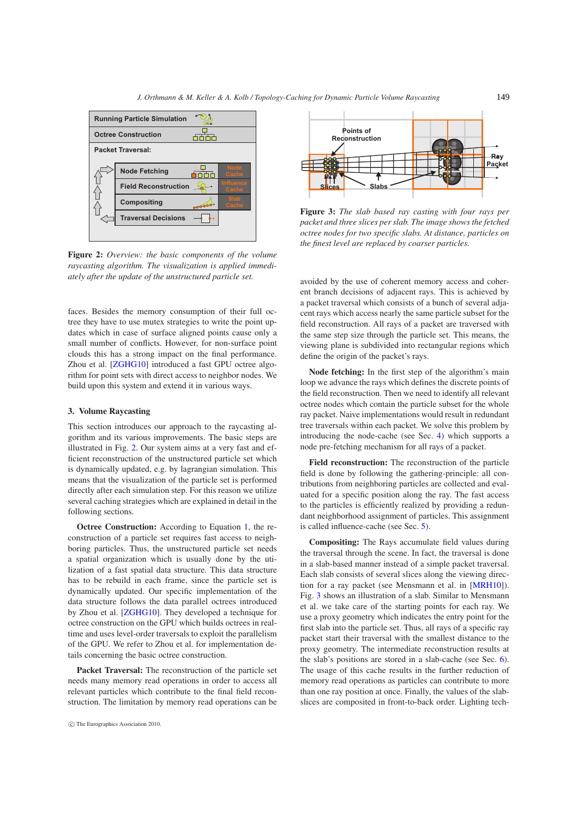<span id="page-2-3"></span>

<span id="page-2-1"></span>**Figure 2:** *Overview: the basic components of the volume raycasting algorithm. The visualization is applied immediately after the update of the unstructured particle set.*

faces. Besides the memory consumption of their full octree they have to use mutex strategies to write the point updates which in case of surface aligned points cause only a small number of conflicts. However, for non-surface point clouds this has a strong impact on the final performance. Zhou et al. [\[ZGHG10\]](#page-7-2) introduced a fast GPU octree algorithm for point sets with direct access to neighbor nodes. We build upon this system and extend it in various ways.

## <span id="page-2-0"></span>**3. Volume Raycasting**

This section introduces our approach to the raycasting algorithm and its various improvements. The basic steps are illustrated in Fig. [2.](#page-2-1) Our system aims at a very fast and efficient reconstruction of the unstructured particle set which is dynamically updated, e.g. by lagrangian simulation. This means that the visualization of the particle set is performed directly after each simulation step. For this reason we utilize several caching strategies which are explained in detail in the following sections.

**Octree Construction:** According to Equation [1,](#page-1-1) the reconstruction of a particle set requires fast access to neighboring particles. Thus, the unstructured particle set needs a spatial organization which is usually done by the utilization of a fast spatial data structure. This data structure has to be rebuild in each frame, since the particle set is dynamically updated. Our specific implementation of the data structure follows the data parallel octrees introduced by Zhou et al. [\[ZGHG10\]](#page-7-2). They developed a technique for octree construction on the GPU which builds octrees in realtime and uses level-order traversals to exploit the parallelism of the GPU. We refer to Zhou et al. for implementation details concerning the basic octree construction.

**Packet Traversal:** The reconstruction of the particle set needs many memory read operations in order to access all relevant particles which contribute to the final field reconstruction. The limitation by memory read operations can be





<span id="page-2-2"></span>**Figure 3:** *The slab based ray casting with four rays per packet and three slices per slab. The image shows the fetched octree nodes for two specific slabs. At distance, particles on the finest level are replaced by coarser particles.*

avoided by the use of coherent memory access and coherent branch decisions of adjacent rays. This is achieved by a packet traversal which consists of a bunch of several adjacent rays which access nearly the same particle subset for the field reconstruction. All rays of a packet are traversed with the same step size through the particle set. This means, the viewing plane is subdivided into rectangular regions which define the origin of the packet's rays.

**Node fetching:** In the first step of the algorithm's main loop we advance the rays which defines the discrete points of the field reconstruction. Then we need to identify all relevant octree nodes which contain the particle subset for the whole ray packet. Naive implementations would result in redundant tree traversals within each packet. We solve this problem by introducing the node-cache (see Sec. [4\)](#page-3-0) which supports a node pre-fetching mechanism for all rays of a packet.

**Field reconstruction:** The reconstruction of the particle field is done by following the gathering-principle: all contributions from neighboring particles are collected and evaluated for a specific position along the ray. The fast access to the particles is efficiently realized by providing a redundant neighborhood assignment of particles. This assignment is called influence-cache (see Sec. [5\)](#page-4-0).

**Compositing:** The Rays accumulate field values during the traversal through the scene. In fact, the traversal is done in a slab-based manner instead of a simple packet traversal. Each slab consists of several slices along the viewing direction for a ray packet (see Mensmann et al. in [\[MRH10\]](#page-6-2)). Fig. [3](#page-2-2) shows an illustration of a slab. Similar to Mensmann et al. we take care of the starting points for each ray. We use a proxy geometry which indicates the entry point for the first slab into the particle set. Thus, all rays of a specific ray packet start their traversal with the smallest distance to the proxy geometry. The intermediate reconstruction results at the slab's positions are stored in a slab-cache (see Sec. [6\)](#page-4-1). The usage of this cache results in the further reduction of memory read operations as particles can contribute to more than one ray position at once. Finally, the values of the slabslices are composited in front-to-back order. Lighting tech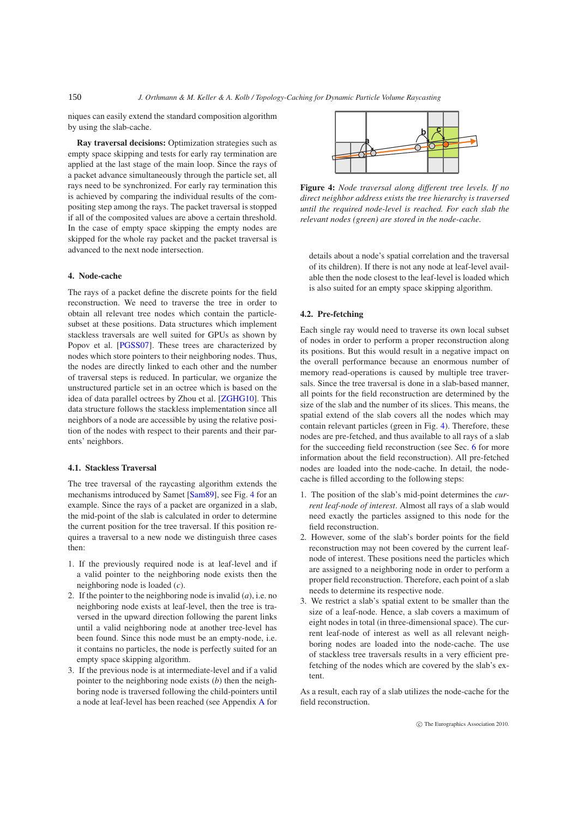niques can easily extend the standard composition algorithm by using the slab-cache.

**Ray traversal decisions:** Optimization strategies such as empty space skipping and tests for early ray termination are applied at the last stage of the main loop. Since the rays of a packet advance simultaneously through the particle set, all rays need to be synchronized. For early ray termination this is achieved by comparing the individual results of the compositing step among the rays. The packet traversal is stopped if all of the composited values are above a certain threshold. In the case of empty space skipping the empty nodes are skipped for the whole ray packet and the packet traversal is advanced to the next node intersection.

# <span id="page-3-0"></span>**4. Node-cache**

The rays of a packet define the discrete points for the field reconstruction. We need to traverse the tree in order to obtain all relevant tree nodes which contain the particlesubset at these positions. Data structures which implement stackless traversals are well suited for GPUs as shown by Popov et al. [\[PGSS07\]](#page-6-8). These trees are characterized by nodes which store pointers to their neighboring nodes. Thus, the nodes are directly linked to each other and the number of traversal steps is reduced. In particular, we organize the unstructured particle set in an octree which is based on the idea of data parallel octrees by Zhou et al. [\[ZGHG10\]](#page-7-2). This data structure follows the stackless implementation since all neighbors of a node are accessible by using the relative position of the nodes with respect to their parents and their parents' neighbors.

## **4.1. Stackless Traversal**

The tree traversal of the raycasting algorithm extends the mechanisms introduced by Samet [\[Sam89\]](#page-6-11), see Fig. [4](#page-3-1) for an example. Since the rays of a packet are organized in a slab, the mid-point of the slab is calculated in order to determine the current position for the tree traversal. If this position requires a traversal to a new node we distinguish three cases then:

- 1. If the previously required node is at leaf-level and if a valid pointer to the neighboring node exists then the neighboring node is loaded (*c*).
- 2. If the pointer to the neighboring node is invalid (*a*), i.e. no neighboring node exists at leaf-level, then the tree is traversed in the upward direction following the parent links until a valid neighboring node at another tree-level has been found. Since this node must be an empty-node, i.e. it contains no particles, the node is perfectly suited for an empty space skipping algorithm.
- 3. If the previous node is at intermediate-level and if a valid pointer to the neighboring node exists (*b*) then the neighboring node is traversed following the child-pointers until a node at leaf-level has been reached (see Appendix [A](#page-7-9) for



<span id="page-3-1"></span>**Figure 4:** *Node traversal along different tree levels. If no direct neighbor address exists the tree hierarchy is traversed until the required node-level is reached. For each slab the relevant nodes (green) are stored in the node-cache.*

<span id="page-3-2"></span>details about a node's spatial correlation and the traversal of its children). If there is not any node at leaf-level available then the node closest to the leaf-level is loaded which is also suited for an empty space skipping algorithm.

# **4.2. Pre-fetching**

Each single ray would need to traverse its own local subset of nodes in order to perform a proper reconstruction along its positions. But this would result in a negative impact on the overall performance because an enormous number of memory read-operations is caused by multiple tree traversals. Since the tree traversal is done in a slab-based manner, all points for the field reconstruction are determined by the size of the slab and the number of its slices. This means, the spatial extend of the slab covers all the nodes which may contain relevant particles (green in Fig. [4\)](#page-3-1). Therefore, these nodes are pre-fetched, and thus available to all rays of a slab for the succeeding field reconstruction (see Sec. [6](#page-4-1) for more information about the field reconstruction). All pre-fetched nodes are loaded into the node-cache. In detail, the nodecache is filled according to the following steps:

- 1. The position of the slab's mid-point determines the *current leaf-node of interest*. Almost all rays of a slab would need exactly the particles assigned to this node for the field reconstruction.
- 2. However, some of the slab's border points for the field reconstruction may not been covered by the current leafnode of interest. These positions need the particles which are assigned to a neighboring node in order to perform a proper field reconstruction. Therefore, each point of a slab needs to determine its respective node.
- 3. We restrict a slab's spatial extent to be smaller than the size of a leaf-node. Hence, a slab covers a maximum of eight nodes in total (in three-dimensional space). The current leaf-node of interest as well as all relevant neighboring nodes are loaded into the node-cache. The use of stackless tree traversals results in a very efficient prefetching of the nodes which are covered by the slab's extent.

As a result, each ray of a slab utilizes the node-cache for the field reconstruction.

<span id="page-3-3"></span>150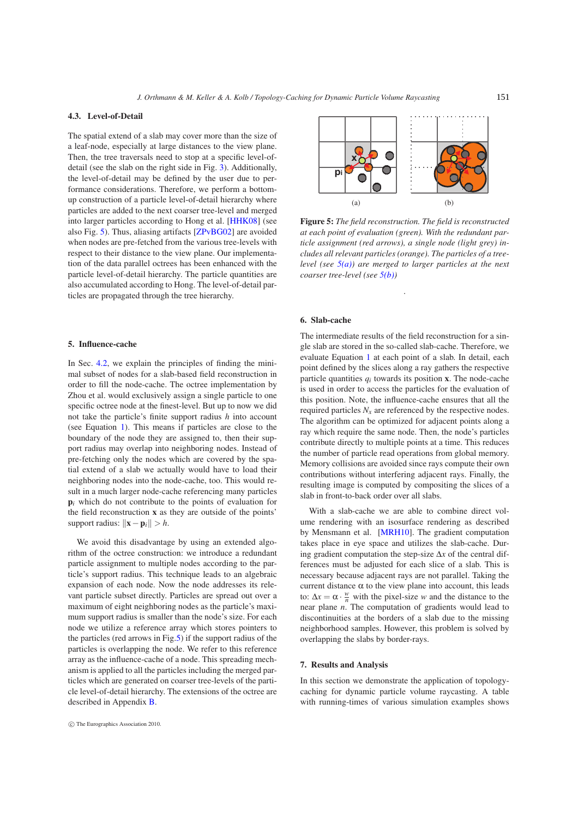#### <span id="page-4-6"></span>**4.3. Level-of-Detail**

The spatial extend of a slab may cover more than the size of a leaf-node, especially at large distances to the view plane. Then, the tree traversals need to stop at a specific level-ofdetail (see the slab on the right side in Fig. [3\)](#page-2-2). Additionally, the level-of-detail may be defined by the user due to performance considerations. Therefore, we perform a bottomup construction of a particle level-of-detail hierarchy where particles are added to the next coarser tree-level and merged into larger particles according to Hong et al. [\[HHK08\]](#page-6-12) (see also Fig. [5\)](#page-4-3). Thus, aliasing artifacts [\[ZPvBG02\]](#page-7-7) are avoided when nodes are pre-fetched from the various tree-levels with respect to their distance to the view plane. Our implementation of the data parallel octrees has been enhanced with the particle level-of-detail hierarchy. The particle quantities are also accumulated according to Hong. The level-of-detail particles are propagated through the tree hierarchy.

## <span id="page-4-0"></span>**5. Influence-cache**

In Sec. [4.2,](#page-3-2) we explain the principles of finding the minimal subset of nodes for a slab-based field reconstruction in order to fill the node-cache. The octree implementation by Zhou et al. would exclusively assign a single particle to one specific octree node at the finest-level. But up to now we did not take the particle's finite support radius *h* into account (see Equation [1\)](#page-1-1). This means if particles are close to the boundary of the node they are assigned to, then their support radius may overlap into neighboring nodes. Instead of pre-fetching only the nodes which are covered by the spatial extend of a slab we actually would have to load their neighboring nodes into the node-cache, too. This would result in a much larger node-cache referencing many particles **p**<sub>*i*</sub> which do not contribute to the points of evaluation for the field reconstruction **x** as they are outside of the points' support radius:  $\|\mathbf{x} - \mathbf{p}_i\| > h$ .

We avoid this disadvantage by using an extended algorithm of the octree construction: we introduce a redundant particle assignment to multiple nodes according to the particle's support radius. This technique leads to an algebraic expansion of each node. Now the node addresses its relevant particle subset directly. Particles are spread out over a maximum of eight neighboring nodes as the particle's maximum support radius is smaller than the node's size. For each node we utilize a reference array which stores pointers to the particles (red arrows in Fig[.5\)](#page-4-3) if the support radius of the particles is overlapping the node. We refer to this reference array as the influence-cache of a node. This spreading mechanism is applied to all the particles including the merged particles which are generated on coarser tree-levels of the particle level-of-detail hierarchy. The extensions of the octree are described in Appendix [B.](#page-7-10)

<span id="page-4-5"></span>

<span id="page-4-4"></span><span id="page-4-3"></span>**Figure 5:** *The field reconstruction. The field is reconstructed at each point of evaluation (green). With the redundant particle assignment (red arrows), a single node (light grey) includes all relevant particles (orange). The particles of a treelevel (see [5\(a\)\)](#page-4-4) are merged to larger particles at the next coarser tree-level (see [5\(b\)\)](#page-4-5)*

.

#### <span id="page-4-1"></span>**6. Slab-cache**

The intermediate results of the field reconstruction for a single slab are stored in the so-called slab-cache. Therefore, we evaluate Equation [1](#page-1-1) at each point of a slab. In detail, each point defined by the slices along a ray gathers the respective particle quantities  $q_i$  towards its position **x**. The node-cache is used in order to access the particles for the evaluation of this position. Note, the influence-cache ensures that all the required particles  $N_x$  are referenced by the respective nodes. The algorithm can be optimized for adjacent points along a ray which require the same node. Then, the node's particles contribute directly to multiple points at a time. This reduces the number of particle read operations from global memory. Memory collisions are avoided since rays compute their own contributions without interfering adjacent rays. Finally, the resulting image is computed by compositing the slices of a slab in front-to-back order over all slabs.

With a slab-cache we are able to combine direct volume rendering with an isosurface rendering as described by Mensmann et al. [\[MRH10\]](#page-6-2). The gradient computation takes place in eye space and utilizes the slab-cache. During gradient computation the step-size ∆*x* of the central differences must be adjusted for each slice of a slab. This is necessary because adjacent rays are not parallel. Taking the current distance  $\alpha$  to the view plane into account, this leads to:  $\Delta x = \alpha \cdot \frac{w}{n}$  with the pixel-size *w* and the distance to the near plane *n*. The computation of gradients would lead to discontinuities at the borders of a slab due to the missing neighborhood samples. However, this problem is solved by overlapping the slabs by border-rays.

## <span id="page-4-2"></span>**7. Results and Analysis**

In this section we demonstrate the application of topologycaching for dynamic particle volume raycasting. A table with running-times of various simulation examples shows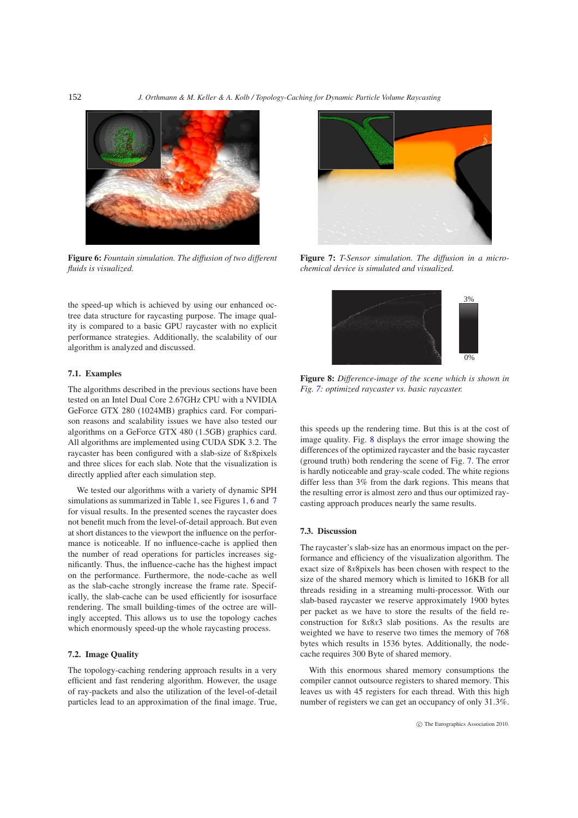

**Figure 6:** *Fountain simulation. The diffusion of two different fluids is visualized.*

<span id="page-5-0"></span>the speed-up which is achieved by using our enhanced octree data structure for raycasting purpose. The image quality is compared to a basic GPU raycaster with no explicit performance strategies. Additionally, the scalability of our algorithm is analyzed and discussed.

## **7.1. Examples**

The algorithms described in the previous sections have been tested on an Intel Dual Core 2.67GHz CPU with a NVIDIA GeForce GTX 280 (1024MB) graphics card. For comparison reasons and scalability issues we have also tested our algorithms on a GeForce GTX 480 (1.5GB) graphics card. All algorithms are implemented using CUDA SDK 3.2. The raycaster has been configured with a slab-size of 8*x*8pixels and three slices for each slab. Note that the visualization is directly applied after each simulation step.

We tested our algorithms with a variety of dynamic SPH simulations as summarized in Table [1,](#page-0-0) see Figures 1, [6](#page-5-0) and [7](#page-5-1) for visual results. In the presented scenes the raycaster does not benefit much from the level-of-detail approach. But even at short distances to the viewport the influence on the performance is noticeable. If no influence-cache is applied then the number of read operations for particles increases significantly. Thus, the influence-cache has the highest impact on the performance. Furthermore, the node-cache as well as the slab-cache strongly increase the frame rate. Specifically, the slab-cache can be used efficiently for isosurface rendering. The small building-times of the octree are willingly accepted. This allows us to use the topology caches which enormously speed-up the whole raycasting process.

# **7.2. Image Quality**

The topology-caching rendering approach results in a very efficient and fast rendering algorithm. However, the usage of ray-packets and also the utilization of the level-of-detail particles lead to an approximation of the final image. True,



**Figure 7:** *T-Sensor simulation. The diffusion in a microchemical device is simulated and visualized.*

<span id="page-5-2"></span><span id="page-5-1"></span>

**Figure 8:** *Difference-image of the scene which is shown in Fig. [7:](#page-5-1) optimized raycaster vs. basic raycaster.*

this speeds up the rendering time. But this is at the cost of image quality. Fig. [8](#page-5-2) displays the error image showing the differences of the optimized raycaster and the basic raycaster (ground truth) both rendering the scene of Fig. [7.](#page-5-1) The error is hardly noticeable and gray-scale coded. The white regions differ less than 3% from the dark regions. This means that the resulting error is almost zero and thus our optimized raycasting approach produces nearly the same results.

#### **7.3. Discussion**

The raycaster's slab-size has an enormous impact on the performance and efficiency of the visualization algorithm. The exact size of 8*x*8pixels has been chosen with respect to the size of the shared memory which is limited to 16KB for all threads residing in a streaming multi-processor. With our slab-based raycaster we reserve approximately 1900 bytes per packet as we have to store the results of the field reconstruction for 8*x*8*x*3 slab positions. As the results are weighted we have to reserve two times the memory of 768 bytes which results in 1536 bytes. Additionally, the nodecache requires 300 Byte of shared memory.

With this enormous shared memory consumptions the compiler cannot outsource registers to shared memory. This leaves us with 45 registers for each thread. With this high number of registers we can get an occupancy of only 31.3%.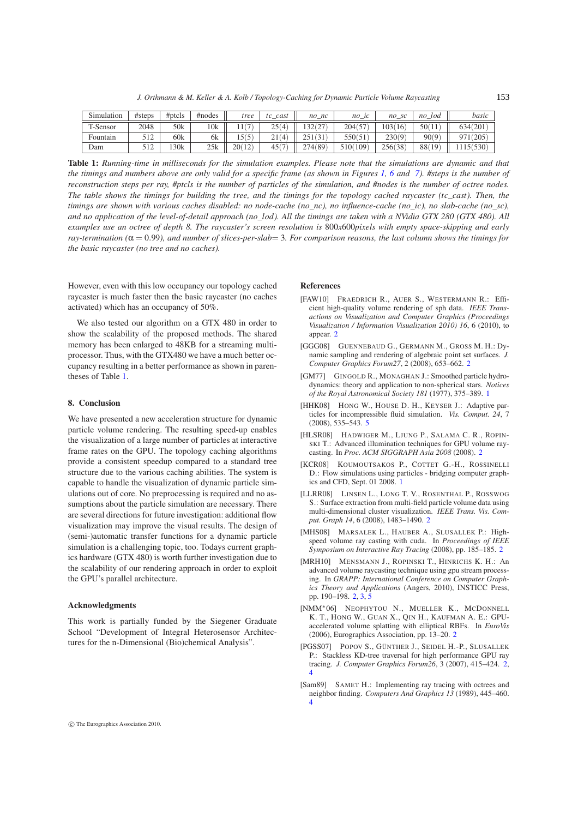*J. Orthmann & M. Keller & A. Kolb / Topology-Caching for Dynamic Particle Volume Raycasting*

<span id="page-6-13"></span>

| Simulation | # steps                 | $#$ ptcls | #nodes | tree       | cast<br>tc | $no\_nc$           | $n_{O}$<br>$\lbrack$ ic | -SC<br>no | lod<br>n <sub>o</sub> | basic   |
|------------|-------------------------|-----------|--------|------------|------------|--------------------|-------------------------|-----------|-----------------------|---------|
| T-Sensor   | 2048                    | 50k       | 10k    | $\sqrt{2}$ | 25(4)      | 20(27)<br>کے ایک ف | 204(57                  | 03(16)    | 50(11                 | 634(201 |
| Fountain   | 51つ<br>$\overline{1}$   | 60k       | 6k     | (5)        | 21.<br>(4) | 251                | 550(5)                  | 230(9)    | 90(9)                 | 971(205 |
| Dam        | $-12$<br>$\overline{1}$ | 130k      | 25k    | 20(12)     | 45(7)      | 274(89)            | 510(109)                | 256(38)   | 88(<br>19             | 530     |

**Table 1:** *Running-time in milliseconds for the simulation examples. Please note that the simulations are dynamic and that the timings and numbers above are only valid for a specific frame (as shown in Figures [1,](#page-0-0) [6](#page-5-0) and [7\)](#page-5-1). #steps is the number of reconstruction steps per ray, #ptcls is the number of particles of the simulation, and #nodes is the number of octree nodes. The table shows the timings for building the tree, and the timings for the topology cached raycaster (tc\_cast). Then, the timings are shown with various caches disabled: no node-cache (no\_nc), no influence-cache (no\_ic), no slab-cache (no\_sc), and no application of the level-of-detail approach (no\_lod). All the timings are taken with a NVidia GTX 280 (GTX 480). All examples use an octree of depth 8. The raycaster's screen resolution is* 800*x*600*pixels with empty space-skipping and early ray-termination (*α = 0.99*), and number of slices-per-slab*= 3*. For comparison reasons, the last column shows the timings for the basic raycaster (no tree and no caches).*

However, even with this low occupancy our topology cached raycaster is much faster then the basic raycaster (no caches activated) which has an occupancy of 50%.

<span id="page-6-3"></span>We also tested our algorithm on a GTX 480 in order to show the scalability of the proposed methods. The shared memory has been enlarged to 48KB for a streaming multiprocessor. Thus, with the GTX480 we have a much better occupancy resulting in a better performance as shown in parentheses of Table [1.](#page-6-13)

#### **8. Conclusion**

We have presented a new acceleration structure for dynamic particle volume rendering. The resulting speed-up enables the visualization of a large number of particles at interactive frame rates on the GPU. The topology caching algorithms provide a consistent speedup compared to a standard tree structure due to the various caching abilities. The system is capable to handle the visualization of dynamic particle simulations out of core. No preprocessing is required and no assumptions about the particle simulation are necessary. There are several directions for future investigation: additional flow visualization may improve the visual results. The design of (semi-)automatic transfer functions for a dynamic particle simulation is a challenging topic, too. Todays current graphics hardware (GTX 480) is worth further investigation due to the scalability of our rendering approach in order to exploit the GPU's parallel architecture.

#### **Acknowledgments**

This work is partially funded by the Siegener Graduate School "Development of Integral Heterosensor Architectures for the n-Dimensional (Bio)chemical Analysis".

#### <span id="page-6-6"></span>**References**

- <span id="page-6-10"></span>[FAW10] FRAEDRICH R., AUER S., WESTERMANN R.: Efficient high-quality volume rendering of sph data. *IEEE Transactions on Visualization and Computer Graphics (Proceedings Visualization / Information Visualization 2010) 16*, 6 (2010), to appear. [2](#page-1-2)
- <span id="page-6-0"></span>[GGG08] GUENNEBAUD G., GERMANN M., GROSS M. H.: Dynamic sampling and rendering of algebraic point set surfaces. *J. Computer Graphics Forum27*, 2 (2008), 653–662. [2](#page-1-2)
- <span id="page-6-12"></span>[GM77] GINGOLD R., MONAGHAN J.: Smoothed particle hydrodynamics: theory and application to non-spherical stars. *Notices of the Royal Astronomical Society 181* (1977), 375–389. [1](#page-0-1)
- <span id="page-6-4"></span>[HHK08] HONG W., HOUSE D. H., KEYSER J.: Adaptive particles for incompressible fluid simulation. *Vis. Comput. 24*, 7 (2008), 535–543. [5](#page-4-6)
- <span id="page-6-1"></span>[HLSR08] HADWIGER M., LJUNG P., SALAMA C. R., ROPIN-SKI T.: Advanced illumination techniques for GPU volume raycasting. In *Proc. ACM SIGGRAPH Asia 2008* (2008). [2](#page-1-2)
- <span id="page-6-9"></span>[KCR08] KOUMOUTSAKOS P., COTTET G.-H., ROSSINELLI D.: Flow simulations using particles - bridging computer graphics and CFD, Sept. 01 2008. [1](#page-0-1)
- <span id="page-6-5"></span>[LLRR08] LINSEN L., LONG T. V., ROSENTHAL P., ROSSWOG S.: Surface extraction from multi-field particle volume data using multi-dimensional cluster visualization. *IEEE Trans. Vis. Comput. Graph 14*, 6 (2008), 1483–1490. [2](#page-1-2)
- <span id="page-6-2"></span>[MHS08] MARSALEK L., HAUBER A., SLUSALLEK P.: Highspeed volume ray casting with cuda. In *Proceedings of IEEE Symposium on Interactive Ray Tracing* (2008), pp. 185–185. [2](#page-1-2)
- <span id="page-6-7"></span>[MRH10] MENSMANN J., ROPINSKI T., HINRICHS K. H.: An advanced volume raycasting technique using gpu stream processing. In *GRAPP: International Conference on Computer Graphics Theory and Applications* (Angers, 2010), INSTICC Press, pp. 190–198. [2,](#page-1-2) [3,](#page-2-3) [5](#page-4-6)
- <span id="page-6-8"></span>[NMM∗06] NEOPHYTOU N., MUELLER K., MCDONNELL K. T., HONG W., GUAN X., QIN H., KAUFMAN A. E.: GPUaccelerated volume splatting with elliptical RBFs. In *EuroVis* (2006), Eurographics Association, pp. 13–20. [2](#page-1-2)
- <span id="page-6-11"></span>[PGSS07] POPOV S., GÜNTHER J., SEIDEL H.-P., SLUSALLEK P.: Stackless KD-tree traversal for high performance GPU ray tracing. *J. Computer Graphics Forum26*, 3 (2007), 415–424. [2,](#page-1-2) [4](#page-3-3)
- [Sam89] SAMET H.: Implementing ray tracing with octrees and neighbor finding. *Computers And Graphics 13* (1989), 445–460. [4](#page-3-3)